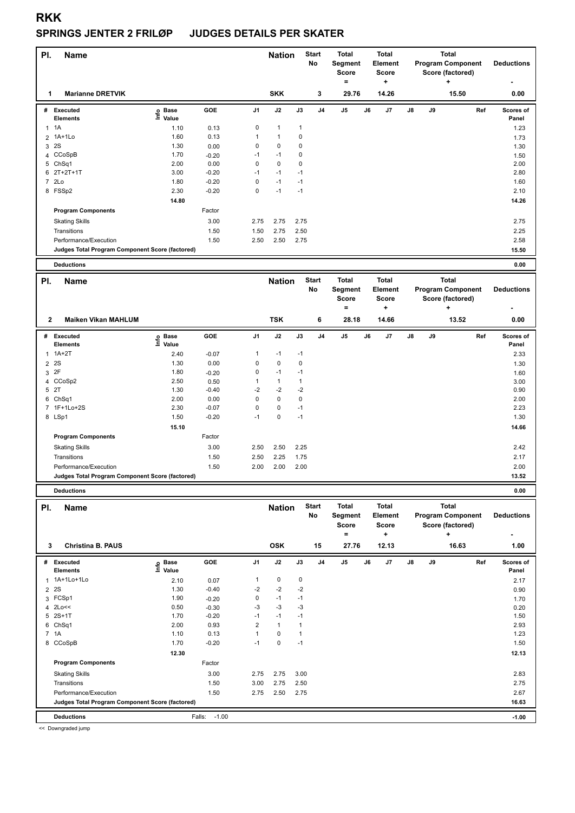# **SPRINGS JENTER 2 FRILØP JUDGES DETAILS PER SKATER**

| PI. | <b>Name</b>                                     |                                  |         |                | <b>Nation</b> |      | <b>Start</b><br>No | <b>Total</b><br>Segment<br><b>Score</b><br>۰ |    | <b>Total</b><br>Element<br><b>Score</b><br>÷ |               |    | <b>Total</b><br><b>Program Component</b><br>Score (factored)<br>÷ | <b>Deductions</b>         |
|-----|-------------------------------------------------|----------------------------------|---------|----------------|---------------|------|--------------------|----------------------------------------------|----|----------------------------------------------|---------------|----|-------------------------------------------------------------------|---------------------------|
|     | <b>Marianne DRETVIK</b>                         |                                  |         |                | <b>SKK</b>    |      | 3                  | 29.76                                        |    | 14.26                                        |               |    | 15.50                                                             | 0.00                      |
| #   | Executed<br><b>Elements</b>                     | <b>Base</b><br>e Base<br>⊑ Value | GOE     | J <sub>1</sub> | J2            | J3   | J4                 | J <sub>5</sub>                               | J6 | J <sub>7</sub>                               | $\mathsf{J}8$ | J9 | Ref                                                               | <b>Scores of</b><br>Panel |
| 1   | 1A                                              | 1.10                             | 0.13    | 0              | 1             | 1    |                    |                                              |    |                                              |               |    |                                                                   | 1.23                      |
|     | 2 1A+1Lo                                        | 1.60                             | 0.13    |                | 1             | 0    |                    |                                              |    |                                              |               |    |                                                                   | 1.73                      |
| 3   | 2S                                              | 1.30                             | 0.00    | 0              | $\mathbf 0$   | 0    |                    |                                              |    |                                              |               |    |                                                                   | 1.30                      |
|     | 4 CCoSpB                                        | 1.70                             | $-0.20$ | $-1$           | $-1$          | 0    |                    |                                              |    |                                              |               |    |                                                                   | 1.50                      |
|     | 5 ChSq1                                         | 2.00                             | 0.00    | 0              | $\pmb{0}$     | 0    |                    |                                              |    |                                              |               |    |                                                                   | 2.00                      |
|     | $62T+2T+1T$                                     | 3.00                             | $-0.20$ | $-1$           | $-1$          | $-1$ |                    |                                              |    |                                              |               |    |                                                                   | 2.80                      |
|     | 7 2Lo                                           | 1.80                             | $-0.20$ | 0              | $-1$          | $-1$ |                    |                                              |    |                                              |               |    |                                                                   | 1.60                      |
|     | 8 FSSp2                                         | 2.30                             | $-0.20$ | 0              | $-1$          | $-1$ |                    |                                              |    |                                              |               |    |                                                                   | 2.10                      |
|     |                                                 | 14.80                            |         |                |               |      |                    |                                              |    |                                              |               |    |                                                                   | 14.26                     |
|     | <b>Program Components</b>                       |                                  | Factor  |                |               |      |                    |                                              |    |                                              |               |    |                                                                   |                           |
|     | <b>Skating Skills</b>                           |                                  | 3.00    | 2.75           | 2.75          | 2.75 |                    |                                              |    |                                              |               |    |                                                                   | 2.75                      |
|     | Transitions                                     |                                  | 1.50    | 1.50           | 2.75          | 2.50 |                    |                                              |    |                                              |               |    |                                                                   | 2.25                      |
|     | Performance/Execution                           |                                  | 1.50    | 2.50           | 2.50          | 2.75 |                    |                                              |    |                                              |               |    |                                                                   | 2.58                      |
|     | Judges Total Program Component Score (factored) |                                  |         |                |               |      |                    |                                              |    |                                              |               |    |                                                                   | 15.50                     |
|     | <b>Deductions</b>                               |                                  |         |                |               |      |                    |                                              |    |                                              |               |    |                                                                   | 0.00                      |

| PI.          | <b>Name</b>                                     |                              |         |                | <b>Nation</b> |      | <b>Start</b><br>No | <b>Total</b><br>Segment<br><b>Score</b><br>۰ |    | <b>Total</b><br>Element<br><b>Score</b><br>٠ |               |    | <b>Total</b><br><b>Program Component</b><br>Score (factored)<br>٠ | <b>Deductions</b>  |
|--------------|-------------------------------------------------|------------------------------|---------|----------------|---------------|------|--------------------|----------------------------------------------|----|----------------------------------------------|---------------|----|-------------------------------------------------------------------|--------------------|
| $\mathbf{2}$ | <b>Maiken Vikan MAHLUM</b>                      |                              |         |                | <b>TSK</b>    |      | 6                  | 28.18                                        |    | 14.66                                        |               |    | 13.52                                                             | 0.00               |
| #            | <b>Executed</b><br><b>Elements</b>              | <b>Base</b><br>١nf٥<br>Value | GOE     | J <sub>1</sub> | J2            | J3   | J <sub>4</sub>     | J5                                           | J6 | J7                                           | $\mathsf{J}8$ | J9 | Ref                                                               | Scores of<br>Panel |
| 1            | $1A+2T$                                         | 2.40                         | $-0.07$ | 1              | $-1$          | $-1$ |                    |                                              |    |                                              |               |    |                                                                   | 2.33               |
|              | 2 2 S                                           | 1.30                         | 0.00    | 0              | 0             | 0    |                    |                                              |    |                                              |               |    |                                                                   | 1.30               |
| 3            | 2F                                              | 1.80                         | $-0.20$ | 0              | $-1$          | $-1$ |                    |                                              |    |                                              |               |    |                                                                   | 1.60               |
|              | 4 CCoSp2                                        | 2.50                         | 0.50    |                | $\mathbf{1}$  |      |                    |                                              |    |                                              |               |    |                                                                   | 3.00               |
| 5            | 2T                                              | 1.30                         | $-0.40$ | $-2$           | $-2$          | $-2$ |                    |                                              |    |                                              |               |    |                                                                   | 0.90               |
| 6            | ChSq1                                           | 2.00                         | 0.00    | 0              | 0             | 0    |                    |                                              |    |                                              |               |    |                                                                   | 2.00               |
|              | 7 1F+1Lo+2S                                     | 2.30                         | $-0.07$ | 0              | 0             | $-1$ |                    |                                              |    |                                              |               |    |                                                                   | 2.23               |
|              | 8 LSp1                                          | 1.50                         | $-0.20$ | $-1$           | 0             | $-1$ |                    |                                              |    |                                              |               |    |                                                                   | 1.30               |
|              |                                                 | 15.10                        |         |                |               |      |                    |                                              |    |                                              |               |    |                                                                   | 14.66              |
|              | <b>Program Components</b>                       |                              | Factor  |                |               |      |                    |                                              |    |                                              |               |    |                                                                   |                    |
|              | <b>Skating Skills</b>                           |                              | 3.00    | 2.50           | 2.50          | 2.25 |                    |                                              |    |                                              |               |    |                                                                   | 2.42               |
|              | Transitions                                     |                              | 1.50    | 2.50           | 2.25          | 1.75 |                    |                                              |    |                                              |               |    |                                                                   | 2.17               |
|              | Performance/Execution                           |                              | 1.50    | 2.00           | 2.00          | 2.00 |                    |                                              |    |                                              |               |    |                                                                   | 2.00               |
|              | Judges Total Program Component Score (factored) |                              |         |                |               |      |                    |                                              |    |                                              |               |    |                                                                   | 13.52              |

 $\overline{\phantom{a}}$ 

**Deductions 0.00**

| PI.            | <b>Name</b>                                     |                            |                   |                | <b>Nation</b> |             | <b>Start</b><br>No | <b>Total</b><br>Segment<br><b>Score</b> |    | <b>Total</b><br>Element<br><b>Score</b> |               |    | <b>Total</b><br><b>Program Component</b><br>Score (factored) | <b>Deductions</b>         |
|----------------|-------------------------------------------------|----------------------------|-------------------|----------------|---------------|-------------|--------------------|-----------------------------------------|----|-----------------------------------------|---------------|----|--------------------------------------------------------------|---------------------------|
|                |                                                 |                            |                   |                |               |             |                    | $=$                                     |    | ٠                                       |               |    | ÷                                                            | ٠                         |
| 3              | <b>Christina B. PAUS</b>                        |                            |                   |                | <b>OSK</b>    |             | 15                 | 27.76                                   |    | 12.13                                   |               |    | 16.63                                                        | 1.00                      |
| #              | <b>Executed</b><br><b>Elements</b>              | e Base<br>E Value<br>Value | GOE               | J <sub>1</sub> | J2            | J3          | J <sub>4</sub>     | J <sub>5</sub>                          | J6 | J7                                      | $\mathsf{J}8$ | J9 | Ref                                                          | <b>Scores of</b><br>Panel |
|                | 1 1A+1Lo+1Lo                                    | 2.10                       | 0.07              |                | $\mathbf 0$   | $\mathbf 0$ |                    |                                         |    |                                         |               |    |                                                              | 2.17                      |
| $\overline{2}$ | 2S                                              | 1.30                       | $-0.40$           | $-2$           | $-2$          | $-2$        |                    |                                         |    |                                         |               |    |                                                              | 0.90                      |
|                | 3 FCSp1                                         | 1.90                       | $-0.20$           | 0              | $-1$          | $-1$        |                    |                                         |    |                                         |               |    |                                                              | 1.70                      |
| 4              | 2Lo<<                                           | 0.50                       | $-0.30$           | $-3$           | $-3$          | -3          |                    |                                         |    |                                         |               |    |                                                              | 0.20                      |
| 5              | $2S+1T$                                         | 1.70                       | $-0.20$           | $-1$           | $-1$          | $-1$        |                    |                                         |    |                                         |               |    |                                                              | 1.50                      |
| 6              | ChSq1                                           | 2.00                       | 0.93              | 2              | $\mathbf{1}$  |             |                    |                                         |    |                                         |               |    |                                                              | 2.93                      |
|                | 7 1A                                            | 1.10                       | 0.13              |                | $\mathbf 0$   |             |                    |                                         |    |                                         |               |    |                                                              | 1.23                      |
| 8              | CCoSpB                                          | 1.70                       | $-0.20$           | $-1$           | 0             | $-1$        |                    |                                         |    |                                         |               |    |                                                              | 1.50                      |
|                |                                                 | 12.30                      |                   |                |               |             |                    |                                         |    |                                         |               |    |                                                              | 12.13                     |
|                | <b>Program Components</b>                       |                            | Factor            |                |               |             |                    |                                         |    |                                         |               |    |                                                              |                           |
|                | <b>Skating Skills</b>                           |                            | 3.00              | 2.75           | 2.75          | 3.00        |                    |                                         |    |                                         |               |    |                                                              | 2.83                      |
|                | Transitions                                     |                            | 1.50              | 3.00           | 2.75          | 2.50        |                    |                                         |    |                                         |               |    |                                                              | 2.75                      |
|                | Performance/Execution                           |                            | 1.50              | 2.75           | 2.50          | 2.75        |                    |                                         |    |                                         |               |    |                                                              | 2.67                      |
|                | Judges Total Program Component Score (factored) |                            |                   |                |               |             |                    |                                         |    |                                         |               |    |                                                              | 16.63                     |
|                | <b>Deductions</b>                               |                            | $-1.00$<br>Falls: |                |               |             |                    |                                         |    |                                         |               |    |                                                              | $-1.00$                   |

<< Downgraded jump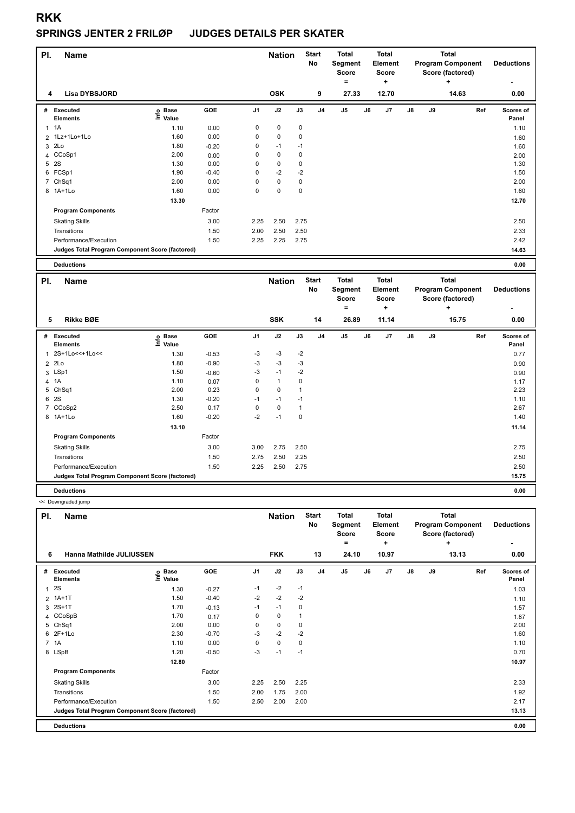#### **SPRINGS JENTER 2 FRILØP JUDGES DETAILS PER SKATER**

| PI.            | <b>Name</b>                                     |                            |         |                | <b>Nation</b> |      | <b>Start</b><br>No | <b>Total</b><br>Segment<br>Score<br>= |    | Total<br>Element<br><b>Score</b><br>٠ |               |    | <b>Total</b><br><b>Program Component</b><br>Score (factored)<br>٠ | <b>Deductions</b>  |
|----------------|-------------------------------------------------|----------------------------|---------|----------------|---------------|------|--------------------|---------------------------------------|----|---------------------------------------|---------------|----|-------------------------------------------------------------------|--------------------|
| 4              | <b>Lisa DYBSJORD</b>                            |                            |         |                | <b>OSK</b>    |      | 9                  | 27.33                                 |    | 12.70                                 |               |    | 14.63                                                             | 0.00               |
| #              | Executed<br><b>Elements</b>                     | <b>Base</b><br>۴ů<br>Value | GOE     | J <sub>1</sub> | J2            | J3   | J <sub>4</sub>     | J5                                    | J6 | J7                                    | $\mathsf{J}8$ | J9 | Ref                                                               | Scores of<br>Panel |
| 1              | 1A                                              | 1.10                       | 0.00    | 0              | $\mathbf 0$   | 0    |                    |                                       |    |                                       |               |    |                                                                   | 1.10               |
|                | 2 1Lz+1Lo+1Lo                                   | 1.60                       | 0.00    | 0              | $\mathbf 0$   | 0    |                    |                                       |    |                                       |               |    |                                                                   | 1.60               |
| 3              | 2Lo                                             | 1.80                       | $-0.20$ | 0              | $-1$          | $-1$ |                    |                                       |    |                                       |               |    |                                                                   | 1.60               |
| $\overline{4}$ | CCoSp1                                          | 2.00                       | 0.00    | 0              | $\mathbf 0$   | 0    |                    |                                       |    |                                       |               |    |                                                                   | 2.00               |
| 5              | 2S                                              | 1.30                       | 0.00    | 0              | $\mathbf 0$   | 0    |                    |                                       |    |                                       |               |    |                                                                   | 1.30               |
|                | 6 FCSp1                                         | 1.90                       | $-0.40$ | 0              | $-2$          | $-2$ |                    |                                       |    |                                       |               |    |                                                                   | 1.50               |
|                | 7 ChSq1                                         | 2.00                       | 0.00    | 0              | $\mathbf 0$   | 0    |                    |                                       |    |                                       |               |    |                                                                   | 2.00               |
|                | 8 1A+1Lo                                        | 1.60                       | 0.00    | 0              | $\mathbf 0$   | 0    |                    |                                       |    |                                       |               |    |                                                                   | 1.60               |
|                |                                                 | 13.30                      |         |                |               |      |                    |                                       |    |                                       |               |    |                                                                   | 12.70              |
|                | <b>Program Components</b>                       |                            | Factor  |                |               |      |                    |                                       |    |                                       |               |    |                                                                   |                    |
|                | <b>Skating Skills</b>                           |                            | 3.00    | 2.25           | 2.50          | 2.75 |                    |                                       |    |                                       |               |    |                                                                   | 2.50               |
|                | Transitions                                     |                            | 1.50    | 2.00           | 2.50          | 2.50 |                    |                                       |    |                                       |               |    |                                                                   | 2.33               |
|                | Performance/Execution                           |                            | 1.50    | 2.25           | 2.25          | 2.75 |                    |                                       |    |                                       |               |    |                                                                   | 2.42               |
|                | Judges Total Program Component Score (factored) |                            |         |                |               |      |                    |                                       |    |                                       |               |    |                                                                   | 14.63              |
|                | <b>Deductions</b>                               |                            |         |                |               |      |                    |                                       |    |                                       |               |    |                                                                   | 0.00               |

| PI.            | Name                                            |                              |         |                | <b>Nation</b> |      | <b>Start</b><br>No | <b>Total</b><br>Segment<br><b>Score</b> |    | <b>Total</b><br>Element<br><b>Score</b> |               |    | <b>Total</b><br><b>Program Component</b><br>Score (factored) | <b>Deductions</b>  |
|----------------|-------------------------------------------------|------------------------------|---------|----------------|---------------|------|--------------------|-----------------------------------------|----|-----------------------------------------|---------------|----|--------------------------------------------------------------|--------------------|
|                |                                                 |                              |         |                |               |      |                    | $\equiv$                                |    | ٠                                       |               |    | ٠                                                            | $\,$               |
| 5              | <b>Rikke BØE</b>                                |                              |         |                | <b>SSK</b>    |      | 14                 | 26.89                                   |    | 11.14                                   |               |    | 15.75                                                        | 0.00               |
| #              | <b>Executed</b><br><b>Elements</b>              | <b>Base</b><br>lnfo<br>Value | GOE     | J <sub>1</sub> | J2            | J3   | J4                 | J <sub>5</sub>                          | J6 | J7                                      | $\mathsf{J}8$ | J9 | Ref                                                          | Scores of<br>Panel |
| $\mathbf{1}$   | 2S+1Lo<<+1Lo<<                                  | 1.30                         | $-0.53$ | $-3$           | $-3$          | $-2$ |                    |                                         |    |                                         |               |    |                                                              | 0.77               |
|                | 2 2Lo                                           | 1.80                         | $-0.90$ | $-3$           | $-3$          | $-3$ |                    |                                         |    |                                         |               |    |                                                              | 0.90               |
|                | 3 LSp1                                          | 1.50                         | $-0.60$ | $-3$           | $-1$          | $-2$ |                    |                                         |    |                                         |               |    |                                                              | 0.90               |
| $\overline{4}$ | 1A                                              | 1.10                         | 0.07    | 0              | $\mathbf{1}$  | 0    |                    |                                         |    |                                         |               |    |                                                              | 1.17               |
| 5              | Ch <sub>Sq1</sub>                               | 2.00                         | 0.23    | 0              | $\mathbf 0$   | 1    |                    |                                         |    |                                         |               |    |                                                              | 2.23               |
| 6              | 2S                                              | 1.30                         | $-0.20$ | $-1$           | $-1$          | $-1$ |                    |                                         |    |                                         |               |    |                                                              | 1.10               |
| $\overline{7}$ | CCoSp2                                          | 2.50                         | 0.17    | 0              | $\mathbf 0$   | 1    |                    |                                         |    |                                         |               |    |                                                              | 2.67               |
|                | 8 1A+1Lo                                        | 1.60                         | $-0.20$ | $-2$           | $-1$          | 0    |                    |                                         |    |                                         |               |    |                                                              | 1.40               |
|                |                                                 | 13.10                        |         |                |               |      |                    |                                         |    |                                         |               |    |                                                              | 11.14              |
|                | <b>Program Components</b>                       |                              | Factor  |                |               |      |                    |                                         |    |                                         |               |    |                                                              |                    |
|                | <b>Skating Skills</b>                           |                              | 3.00    | 3.00           | 2.75          | 2.50 |                    |                                         |    |                                         |               |    |                                                              | 2.75               |
|                | Transitions                                     |                              | 1.50    | 2.75           | 2.50          | 2.25 |                    |                                         |    |                                         |               |    |                                                              | 2.50               |
|                | Performance/Execution                           |                              | 1.50    | 2.25           | 2.50          | 2.75 |                    |                                         |    |                                         |               |    |                                                              | 2.50               |
|                | Judges Total Program Component Score (factored) |                              |         |                |               |      |                    |                                         |    |                                         |               |    |                                                              | 15.75              |
|                | <b>Deductions</b>                               |                              |         |                |               |      |                    |                                         |    |                                         |               |    |                                                              | 0.00               |

<< Downgraded jump

| PI. | <b>Name</b>                                     |                            |         |          | <b>Nation</b> |      | <b>Start</b><br><b>No</b> | <b>Total</b><br>Segment<br><b>Score</b><br>$\equiv$ |    | <b>Total</b><br>Element<br><b>Score</b><br>٠ |               |    | <b>Total</b><br><b>Program Component</b><br>Score (factored)<br>÷ | <b>Deductions</b><br>٠ |
|-----|-------------------------------------------------|----------------------------|---------|----------|---------------|------|---------------------------|-----------------------------------------------------|----|----------------------------------------------|---------------|----|-------------------------------------------------------------------|------------------------|
| 6   | Hanna Mathilde JULIUSSEN                        |                            |         |          | <b>FKK</b>    |      | 13                        | 24.10                                               |    | 10.97                                        |               |    | 13.13                                                             | 0.00                   |
| #   | <b>Executed</b><br><b>Elements</b>              | e Base<br>E Value<br>Value | GOE     | J1       | J2            | J3   | J <sub>4</sub>            | J <sub>5</sub>                                      | J6 | J7                                           | $\mathsf{J}8$ | J9 | Ref                                                               | Scores of<br>Panel     |
| 1   | 2S                                              | 1.30                       | $-0.27$ | $-1$     | $-2$          | $-1$ |                           |                                                     |    |                                              |               |    |                                                                   | 1.03                   |
|     | 2 1A+1T                                         | 1.50                       | $-0.40$ | $-2$     | $-2$          | $-2$ |                           |                                                     |    |                                              |               |    |                                                                   | 1.10                   |
| 3   | $2S+1T$                                         | 1.70                       | $-0.13$ | $-1$     | $-1$          | 0    |                           |                                                     |    |                                              |               |    |                                                                   | 1.57                   |
|     | 4 CCoSpB                                        | 1.70                       | 0.17    | 0        | 0             |      |                           |                                                     |    |                                              |               |    |                                                                   | 1.87                   |
| 5   | ChSq1                                           | 2.00                       | 0.00    | 0        | 0             | 0    |                           |                                                     |    |                                              |               |    |                                                                   | 2.00                   |
| 6   | $2F+1Lo$                                        | 2.30                       | $-0.70$ | -3       | $-2$          | $-2$ |                           |                                                     |    |                                              |               |    |                                                                   | 1.60                   |
|     | 7 1A                                            | 1.10                       | 0.00    | $\Omega$ | $\mathbf 0$   | 0    |                           |                                                     |    |                                              |               |    |                                                                   | 1.10                   |
|     | 8 LSpB                                          | 1.20                       | $-0.50$ | -3       | $-1$          | $-1$ |                           |                                                     |    |                                              |               |    |                                                                   | 0.70                   |
|     |                                                 | 12.80                      |         |          |               |      |                           |                                                     |    |                                              |               |    |                                                                   | 10.97                  |
|     | <b>Program Components</b>                       |                            | Factor  |          |               |      |                           |                                                     |    |                                              |               |    |                                                                   |                        |
|     | <b>Skating Skills</b>                           |                            | 3.00    | 2.25     | 2.50          | 2.25 |                           |                                                     |    |                                              |               |    |                                                                   | 2.33                   |
|     | Transitions                                     |                            | 1.50    | 2.00     | 1.75          | 2.00 |                           |                                                     |    |                                              |               |    |                                                                   | 1.92                   |
|     | Performance/Execution                           |                            | 1.50    | 2.50     | 2.00          | 2.00 |                           |                                                     |    |                                              |               |    |                                                                   | 2.17                   |
|     | Judges Total Program Component Score (factored) |                            |         |          |               |      |                           |                                                     |    |                                              |               |    |                                                                   | 13.13                  |
|     | <b>Deductions</b>                               |                            |         |          |               |      |                           |                                                     |    |                                              |               |    |                                                                   | 0.00                   |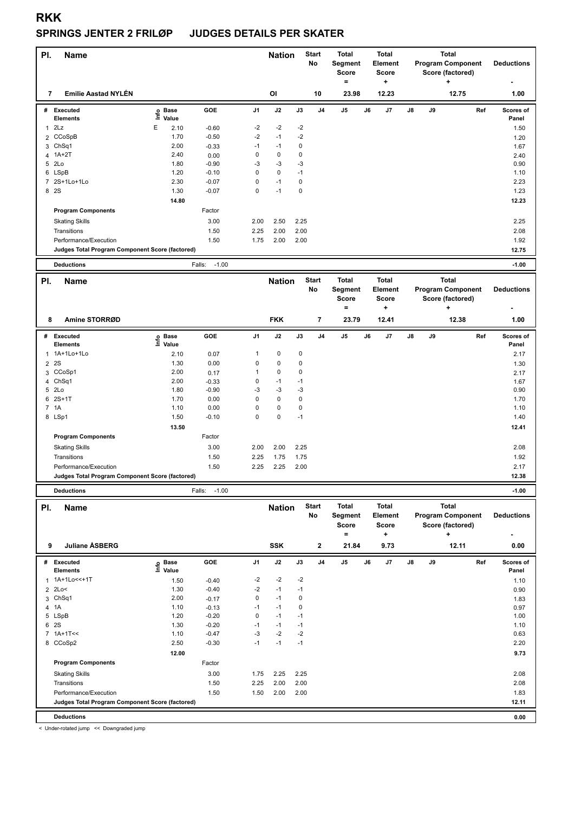#### **SPRINGS JENTER 2 FRILØP JUDGES DETAILS PER SKATER**

| PI. | <b>Name</b>                                     |    |                      |                   |                | <b>Nation</b> |             | <b>Start</b><br><b>No</b> | <b>Total</b><br>Segment<br><b>Score</b><br>۰ |    | <b>Total</b><br>Element<br><b>Score</b><br>÷ |    |    | <b>Total</b><br><b>Program Component</b><br>Score (factored)<br>٠ | <b>Deductions</b>  |
|-----|-------------------------------------------------|----|----------------------|-------------------|----------------|---------------|-------------|---------------------------|----------------------------------------------|----|----------------------------------------------|----|----|-------------------------------------------------------------------|--------------------|
| 7   | <b>Emilie Aastad NYLÉN</b>                      |    |                      |                   |                | OI            |             | 10                        | 23.98                                        |    | 12.23                                        |    |    | 12.75                                                             | 1.00               |
| #   | <b>Executed</b><br><b>Elements</b>              | ۴ů | <b>Base</b><br>Value | <b>GOE</b>        | J <sub>1</sub> | J2            | J3          | J <sub>4</sub>            | J <sub>5</sub>                               | J6 | J7                                           | J8 | J9 | Ref                                                               | Scores of<br>Panel |
|     | 2Lz                                             | E  | 2.10                 | $-0.60$           | $-2$           | $-2$          | $-2$        |                           |                                              |    |                                              |    |    |                                                                   | 1.50               |
|     | 2 CCoSpB                                        |    | 1.70                 | $-0.50$           | $-2$           | $-1$          | $-2$        |                           |                                              |    |                                              |    |    |                                                                   | 1.20               |
|     | 3 ChSq1                                         |    | 2.00                 | $-0.33$           | $-1$           | $-1$          | 0           |                           |                                              |    |                                              |    |    |                                                                   | 1.67               |
|     | 4 1A+2T                                         |    | 2.40                 | 0.00              | $\Omega$       | $\mathbf 0$   | 0           |                           |                                              |    |                                              |    |    |                                                                   | 2.40               |
|     | 5 2Lo                                           |    | 1.80                 | $-0.90$           | -3             | $-3$          | $-3$        |                           |                                              |    |                                              |    |    |                                                                   | 0.90               |
|     | 6 LSpB                                          |    | 1.20                 | $-0.10$           | 0              | $\mathbf 0$   | $-1$        |                           |                                              |    |                                              |    |    |                                                                   | 1.10               |
| 7   | 2S+1Lo+1Lo                                      |    | 2.30                 | $-0.07$           | 0              | $-1$          | 0           |                           |                                              |    |                                              |    |    |                                                                   | 2.23               |
|     | 8 2S                                            |    | 1.30                 | $-0.07$           | 0              | $-1$          | $\mathbf 0$ |                           |                                              |    |                                              |    |    |                                                                   | 1.23               |
|     |                                                 |    | 14.80                |                   |                |               |             |                           |                                              |    |                                              |    |    |                                                                   | 12.23              |
|     | <b>Program Components</b>                       |    |                      | Factor            |                |               |             |                           |                                              |    |                                              |    |    |                                                                   |                    |
|     | <b>Skating Skills</b>                           |    |                      | 3.00              | 2.00           | 2.50          | 2.25        |                           |                                              |    |                                              |    |    |                                                                   | 2.25               |
|     | Transitions                                     |    |                      | 1.50              | 2.25           | 2.00          | 2.00        |                           |                                              |    |                                              |    |    |                                                                   | 2.08               |
|     | Performance/Execution                           |    |                      | 1.50              | 1.75           | 2.00          | 2.00        |                           |                                              |    |                                              |    |    |                                                                   | 1.92               |
|     | Judges Total Program Component Score (factored) |    |                      |                   |                |               |             |                           |                                              |    |                                              |    |    |                                                                   | 12.75              |
|     | <b>Deductions</b>                               |    |                      | $-1.00$<br>Falls: |                |               |             |                           |                                              |    |                                              |    |    |                                                                   | $-1.00$            |
| PI. | <b>Name</b>                                     |    |                      |                   |                | <b>Nation</b> |             | <b>Start</b><br>No        | <b>Total</b><br>Segment                      |    | <b>Total</b><br>Element                      |    |    | <b>Total</b><br><b>Program Component</b>                          | <b>Deductions</b>  |

|              |                                                 |                            |         |                |             |             |                | <b>Score</b>   |    | <b>Score</b> |               |    | Score (factored) |                    |
|--------------|-------------------------------------------------|----------------------------|---------|----------------|-------------|-------------|----------------|----------------|----|--------------|---------------|----|------------------|--------------------|
|              |                                                 |                            |         |                |             |             |                | $\equiv$       |    | ٠            |               |    | ÷                | ٠                  |
| 8            | Amine STORRØD                                   |                            |         |                | <b>FKK</b>  |             | $\overline{7}$ | 23.79          |    | 12.41        |               |    | 12.38            | 1.00               |
| #            | Executed<br><b>Elements</b>                     | <b>Base</b><br>۴ů<br>Value | GOE     | J <sub>1</sub> | J2          | J3          | J4             | J <sub>5</sub> | J6 | J7           | $\mathsf{J}8$ | J9 | Ref              | Scores of<br>Panel |
| $\mathbf{1}$ | 1A+1Lo+1Lo                                      | 2.10                       | 0.07    | 1              | 0           | 0           |                |                |    |              |               |    |                  | 2.17               |
|              | 2 2 S                                           | 1.30                       | 0.00    | 0              | $\mathbf 0$ | 0           |                |                |    |              |               |    |                  | 1.30               |
|              | 3 CCoSp1                                        | 2.00                       | 0.17    | 1              | 0           | $\mathbf 0$ |                |                |    |              |               |    |                  | 2.17               |
|              | 4 ChSq1                                         | 2.00                       | $-0.33$ | 0              | $-1$        | $-1$        |                |                |    |              |               |    |                  | 1.67               |
|              | 5 2Lo                                           | 1.80                       | $-0.90$ | $-3$           | $-3$        | $-3$        |                |                |    |              |               |    |                  | 0.90               |
| 6            | $2S+1T$                                         | 1.70                       | 0.00    | 0              | $\mathbf 0$ | 0           |                |                |    |              |               |    |                  | 1.70               |
|              | 7 1A                                            | 1.10                       | 0.00    | 0              | $\mathbf 0$ | $\mathbf 0$ |                |                |    |              |               |    |                  | 1.10               |
|              | 8 LSp1                                          | 1.50                       | $-0.10$ | 0              | $\pmb{0}$   | $-1$        |                |                |    |              |               |    |                  | 1.40               |
|              |                                                 | 13.50                      |         |                |             |             |                |                |    |              |               |    |                  | 12.41              |
|              | <b>Program Components</b>                       |                            | Factor  |                |             |             |                |                |    |              |               |    |                  |                    |
|              | <b>Skating Skills</b>                           |                            | 3.00    | 2.00           | 2.00        | 2.25        |                |                |    |              |               |    |                  | 2.08               |
|              | Transitions                                     |                            | 1.50    | 2.25           | 1.75        | 1.75        |                |                |    |              |               |    |                  | 1.92               |
|              | Performance/Execution                           |                            | 1.50    | 2.25           | 2.25        | 2.00        |                |                |    |              |               |    |                  | 2.17               |
|              | Judges Total Program Component Score (factored) |                            |         |                |             |             |                |                |    |              |               |    |                  | 12.38              |
|              |                                                 |                            |         |                |             |             |                |                |    |              |               |    |                  |                    |

H **Deductions** Falls: -1.00 **-1.00**

| PI. | Name                                            |                   |            |                | <b>Nation</b> |      | <b>Start</b><br>No | <b>Total</b><br>Segment<br><b>Score</b><br>= |    | <b>Total</b><br>Element<br><b>Score</b> |               |    | <b>Total</b><br><b>Program Component</b><br>Score (factored) | <b>Deductions</b>  |
|-----|-------------------------------------------------|-------------------|------------|----------------|---------------|------|--------------------|----------------------------------------------|----|-----------------------------------------|---------------|----|--------------------------------------------------------------|--------------------|
| 9   | <b>Juliane ASBERG</b>                           |                   |            |                | <b>SSK</b>    |      | $\overline{2}$     | 21.84                                        |    | ٠<br>9.73                               |               |    | ٠<br>12.11                                                   | ۰<br>0.00          |
| #   | <b>Executed</b><br><b>Elements</b>              | e Base<br>⊑ Value | <b>GOE</b> | J <sub>1</sub> | J2            | J3   | J <sub>4</sub>     | J <sub>5</sub>                               | J6 | J7                                      | $\mathsf{J}8$ | J9 | Ref                                                          | Scores of<br>Panel |
|     | 1 1A+1Lo<<+1T                                   | 1.50              | $-0.40$    | $-2$           | $-2$          | $-2$ |                    |                                              |    |                                         |               |    |                                                              | 1.10               |
|     | 2 2Lo<                                          | 1.30              | $-0.40$    | $-2$           | $-1$          | $-1$ |                    |                                              |    |                                         |               |    |                                                              | 0.90               |
|     | 3 ChSq1                                         | 2.00              | $-0.17$    | 0              | $-1$          | 0    |                    |                                              |    |                                         |               |    |                                                              | 1.83               |
| 4   | 1A                                              | 1.10              | $-0.13$    | $-1$           | $-1$          | 0    |                    |                                              |    |                                         |               |    |                                                              | 0.97               |
|     | 5 LSpB                                          | 1.20              | $-0.20$    | 0              | $-1$          | $-1$ |                    |                                              |    |                                         |               |    |                                                              | 1.00               |
| 6   | 2S                                              | 1.30              | $-0.20$    | $-1$           | $-1$          | $-1$ |                    |                                              |    |                                         |               |    |                                                              | 1.10               |
|     | $7 1A+1T<<$                                     | 1.10              | $-0.47$    | $-3$           | $-2$          | $-2$ |                    |                                              |    |                                         |               |    |                                                              | 0.63               |
|     | 8 CCoSp2                                        | 2.50              | $-0.30$    | $-1$           | $-1$          | $-1$ |                    |                                              |    |                                         |               |    |                                                              | 2.20               |
|     |                                                 | 12.00             |            |                |               |      |                    |                                              |    |                                         |               |    |                                                              | 9.73               |
|     | <b>Program Components</b>                       |                   | Factor     |                |               |      |                    |                                              |    |                                         |               |    |                                                              |                    |
|     | <b>Skating Skills</b>                           |                   | 3.00       | 1.75           | 2.25          | 2.25 |                    |                                              |    |                                         |               |    |                                                              | 2.08               |
|     | Transitions                                     |                   | 1.50       | 2.25           | 2.00          | 2.00 |                    |                                              |    |                                         |               |    |                                                              | 2.08               |
|     | Performance/Execution                           |                   | 1.50       | 1.50           | 2.00          | 2.00 |                    |                                              |    |                                         |               |    |                                                              | 1.83               |
|     | Judges Total Program Component Score (factored) |                   |            |                |               |      |                    |                                              |    |                                         |               |    |                                                              | 12.11              |
|     | <b>Deductions</b>                               |                   |            |                |               |      |                    |                                              |    |                                         |               |    |                                                              | 0.00               |

< Under-rotated jump << Downgraded jump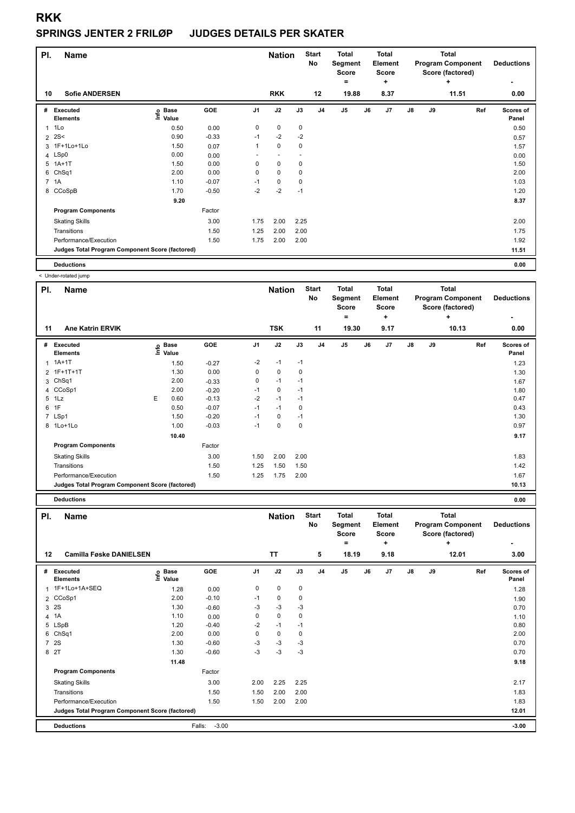#### **SPRINGS JENTER 2 FRILØP JUDGES DETAILS PER SKATER**

| PI.            | <b>Name</b>                                     |                   |            |                | <b>Nation</b>            |      | <b>Start</b><br>No | <b>Total</b><br>Segment<br><b>Score</b><br>$=$ |    | <b>Total</b><br><b>Element</b><br>Score<br>٠ |               |    | <b>Total</b><br><b>Program Component</b><br>Score (factored)<br>÷ | <b>Deductions</b><br>۰ |
|----------------|-------------------------------------------------|-------------------|------------|----------------|--------------------------|------|--------------------|------------------------------------------------|----|----------------------------------------------|---------------|----|-------------------------------------------------------------------|------------------------|
| 10             | <b>Sofie ANDERSEN</b>                           |                   |            |                | <b>RKK</b>               |      | 12                 | 19.88                                          |    | 8.37                                         |               |    | 11.51                                                             | 0.00                   |
| #              | Executed<br><b>Elements</b>                     | e Base<br>E Value | <b>GOE</b> | J <sub>1</sub> | J2                       | J3   | J <sub>4</sub>     | J <sub>5</sub>                                 | J6 | J7                                           | $\mathsf{J}8$ | J9 | Ref                                                               | Scores of<br>Panel     |
| $\overline{1}$ | 1Lo                                             | 0.50              | 0.00       | 0              | $\mathbf 0$              | 0    |                    |                                                |    |                                              |               |    |                                                                   | 0.50                   |
| $\overline{2}$ | 2S<                                             | 0.90              | $-0.33$    | $-1$           | $-2$                     | $-2$ |                    |                                                |    |                                              |               |    |                                                                   | 0.57                   |
|                | 3 1F+1Lo+1Lo                                    | 1.50              | 0.07       | 1              | $\pmb{0}$                | 0    |                    |                                                |    |                                              |               |    |                                                                   | 1.57                   |
|                | 4 LSp0                                          | 0.00              | 0.00       |                | $\overline{\phantom{a}}$ |      |                    |                                                |    |                                              |               |    |                                                                   | 0.00                   |
| 5              | $1A+1T$                                         | 1.50              | 0.00       | 0              | $\mathbf 0$              | 0    |                    |                                                |    |                                              |               |    |                                                                   | 1.50                   |
| 6              | Ch <sub>Sq1</sub>                               | 2.00              | 0.00       | 0              | $\mathbf 0$              | 0    |                    |                                                |    |                                              |               |    |                                                                   | 2.00                   |
|                | 7 1A                                            | 1.10              | $-0.07$    | $-1$           | 0                        | 0    |                    |                                                |    |                                              |               |    |                                                                   | 1.03                   |
|                | 8 CCoSpB                                        | 1.70              | $-0.50$    | $-2$           | $-2$                     | $-1$ |                    |                                                |    |                                              |               |    |                                                                   | 1.20                   |
|                |                                                 | 9.20              |            |                |                          |      |                    |                                                |    |                                              |               |    |                                                                   | 8.37                   |
|                | <b>Program Components</b>                       |                   | Factor     |                |                          |      |                    |                                                |    |                                              |               |    |                                                                   |                        |
|                | <b>Skating Skills</b>                           |                   | 3.00       | 1.75           | 2.00                     | 2.25 |                    |                                                |    |                                              |               |    |                                                                   | 2.00                   |
|                | Transitions                                     |                   | 1.50       | 1.25           | 2.00                     | 2.00 |                    |                                                |    |                                              |               |    |                                                                   | 1.75                   |
|                | Performance/Execution                           |                   | 1.50       | 1.75           | 2.00                     | 2.00 |                    |                                                |    |                                              |               |    |                                                                   | 1.92                   |
|                | Judges Total Program Component Score (factored) |                   |            |                |                          |      |                    |                                                |    |                                              |               |    |                                                                   | 11.51                  |
|                | <b>Deductions</b>                               |                   |            |                |                          |      |                    |                                                |    |                                              |               |    |                                                                   | 0.00                   |

< Under-rotated jump

| PI. | Name                                            |   |                            |         |                | <b>Nation</b> |      | <b>Start</b><br>No | Total<br>Segment<br>Score<br>۰ |    | Total<br>Element<br><b>Score</b><br>٠ |               |    | <b>Total</b><br><b>Program Component</b><br>Score (factored)<br>$\ddot{}$ | <b>Deductions</b><br>۰ |
|-----|-------------------------------------------------|---|----------------------------|---------|----------------|---------------|------|--------------------|--------------------------------|----|---------------------------------------|---------------|----|---------------------------------------------------------------------------|------------------------|
| 11  | <b>Ane Katrin ERVIK</b>                         |   |                            |         |                | <b>TSK</b>    |      | 11                 | 19.30                          |    | 9.17                                  |               |    | 10.13                                                                     | 0.00                   |
| #   | Executed<br><b>Elements</b>                     |   | e Base<br>E Value<br>Value | GOE     | J <sub>1</sub> | J2            | J3   | J <sub>4</sub>     | J5                             | J6 | J7                                    | $\mathsf{J}8$ | J9 | Ref                                                                       | Scores of<br>Panel     |
|     | $1.1A+1T$                                       |   | 1.50                       | $-0.27$ | $-2$           | $-1$          | $-1$ |                    |                                |    |                                       |               |    |                                                                           | 1.23                   |
|     | 2 1F+1T+1T                                      |   | 1.30                       | 0.00    | 0              | 0             | 0    |                    |                                |    |                                       |               |    |                                                                           | 1.30                   |
|     | 3 ChSq1                                         |   | 2.00                       | $-0.33$ | 0              | $-1$          | $-1$ |                    |                                |    |                                       |               |    |                                                                           | 1.67                   |
|     | 4 CCoSp1                                        |   | 2.00                       | $-0.20$ | $-1$           | 0             | $-1$ |                    |                                |    |                                       |               |    |                                                                           | 1.80                   |
|     | 5 1Lz                                           | E | 0.60                       | $-0.13$ | $-2$           | $-1$          | $-1$ |                    |                                |    |                                       |               |    |                                                                           | 0.47                   |
|     | 6 1F                                            |   | 0.50                       | $-0.07$ | $-1$           | $-1$          | 0    |                    |                                |    |                                       |               |    |                                                                           | 0.43                   |
|     | 7 LSp1                                          |   | 1.50                       | $-0.20$ | $-1$           | 0             | $-1$ |                    |                                |    |                                       |               |    |                                                                           | 1.30                   |
|     | 8 1Lo+1Lo                                       |   | 1.00                       | $-0.03$ | $-1$           | $\mathbf 0$   | 0    |                    |                                |    |                                       |               |    |                                                                           | 0.97                   |
|     |                                                 |   | 10.40                      |         |                |               |      |                    |                                |    |                                       |               |    |                                                                           | 9.17                   |
|     | <b>Program Components</b>                       |   |                            | Factor  |                |               |      |                    |                                |    |                                       |               |    |                                                                           |                        |
|     | <b>Skating Skills</b>                           |   |                            | 3.00    | 1.50           | 2.00          | 2.00 |                    |                                |    |                                       |               |    |                                                                           | 1.83                   |
|     | Transitions                                     |   |                            | 1.50    | 1.25           | 1.50          | 1.50 |                    |                                |    |                                       |               |    |                                                                           | 1.42                   |
|     | Performance/Execution                           |   |                            | 1.50    | 1.25           | 1.75          | 2.00 |                    |                                |    |                                       |               |    |                                                                           | 1.67                   |
|     | Judges Total Program Component Score (factored) |   |                            |         |                |               |      |                    |                                |    |                                       |               |    |                                                                           | 10.13                  |

**Deductions 0.00**

| PI.            | <b>Name</b>                                     |                            |                   |                | <b>Nation</b> |             | <b>Start</b><br>No | <b>Total</b><br>Segment<br><b>Score</b><br>۰ |    | <b>Total</b><br>Element<br><b>Score</b><br>÷ |               |    | <b>Total</b><br><b>Program Component</b><br>Score (factored)<br>÷ | <b>Deductions</b>  |
|----------------|-------------------------------------------------|----------------------------|-------------------|----------------|---------------|-------------|--------------------|----------------------------------------------|----|----------------------------------------------|---------------|----|-------------------------------------------------------------------|--------------------|
| 12             | <b>Camilla Føske DANIELSEN</b>                  |                            |                   |                | <b>TT</b>     |             | 5                  | 18.19                                        |    | 9.18                                         |               |    | 12.01                                                             | 3.00               |
| #              | <b>Executed</b><br><b>Elements</b>              | <b>Base</b><br>١m<br>Value | GOE               | J <sub>1</sub> | J2            | J3          | J <sub>4</sub>     | J5                                           | J6 | J7                                           | $\mathsf{J}8$ | J9 | Ref                                                               | Scores of<br>Panel |
|                | 1 1F+1Lo+1A+SEQ                                 | 1.28                       | 0.00              | 0              | $\mathbf 0$   | 0           |                    |                                              |    |                                              |               |    |                                                                   | 1.28               |
|                | 2 CCoSp1                                        | 2.00                       | $-0.10$           | $-1$           | $\mathbf 0$   | $\mathbf 0$ |                    |                                              |    |                                              |               |    |                                                                   | 1.90               |
| 3              | 2S                                              | 1.30                       | $-0.60$           | $-3$           | $-3$          | $-3$        |                    |                                              |    |                                              |               |    |                                                                   | 0.70               |
| 4              | 1A                                              | 1.10                       | 0.00              | 0              | $\mathbf 0$   | 0           |                    |                                              |    |                                              |               |    |                                                                   | 1.10               |
|                | 5 LSpB                                          | 1.20                       | $-0.40$           | $-2$           | $-1$          | $-1$        |                    |                                              |    |                                              |               |    |                                                                   | 0.80               |
|                | 6 ChSq1                                         | 2.00                       | 0.00              | 0              | $\mathbf 0$   | 0           |                    |                                              |    |                                              |               |    |                                                                   | 2.00               |
| $\overline{7}$ | <b>2S</b>                                       | 1.30                       | $-0.60$           | $-3$           | $-3$          | -3          |                    |                                              |    |                                              |               |    |                                                                   | 0.70               |
|                | 8 2T                                            | 1.30                       | $-0.60$           | $-3$           | $-3$          | $-3$        |                    |                                              |    |                                              |               |    |                                                                   | 0.70               |
|                |                                                 | 11.48                      |                   |                |               |             |                    |                                              |    |                                              |               |    |                                                                   | 9.18               |
|                | <b>Program Components</b>                       |                            | Factor            |                |               |             |                    |                                              |    |                                              |               |    |                                                                   |                    |
|                | <b>Skating Skills</b>                           |                            | 3.00              | 2.00           | 2.25          | 2.25        |                    |                                              |    |                                              |               |    |                                                                   | 2.17               |
|                | Transitions                                     |                            | 1.50              | 1.50           | 2.00          | 2.00        |                    |                                              |    |                                              |               |    |                                                                   | 1.83               |
|                | Performance/Execution                           |                            | 1.50              | 1.50           | 2.00          | 2.00        |                    |                                              |    |                                              |               |    |                                                                   | 1.83               |
|                | Judges Total Program Component Score (factored) |                            |                   |                |               |             |                    |                                              |    |                                              |               |    |                                                                   | 12.01              |
|                | <b>Deductions</b>                               |                            | $-3.00$<br>Falls: |                |               |             |                    |                                              |    |                                              |               |    |                                                                   | $-3.00$            |